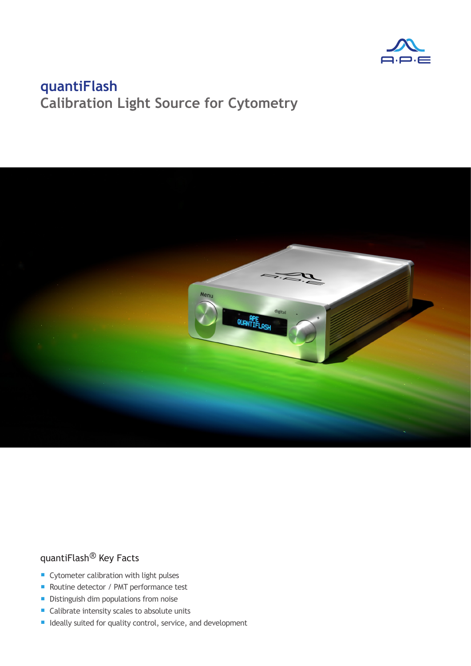



### quantiFlash® Key Facts

- Cytometer calibration with light pulses
- Routine detector / PMT performance test
- **•** Distinguish dim populations from noise
- Calibrate intensity scales to absolute units
- **E** Ideally suited for quality control, service, and development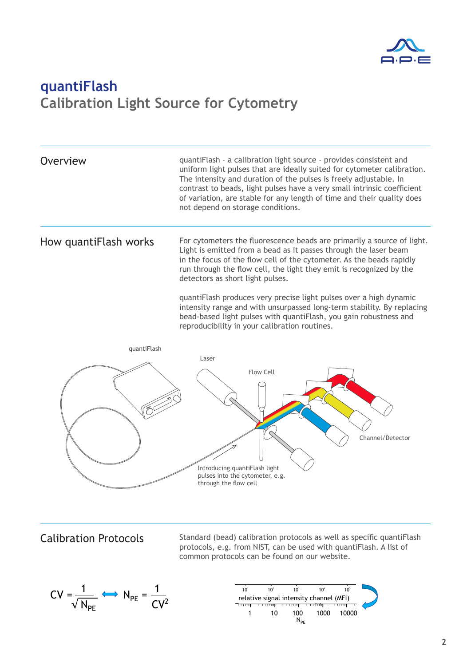

Overview **Coverview** quantiFlash - a calibration light source - provides consistent and uniform light pulses that are ideally suited for cytometer calibration. The intensity and duration of the pulses is freely adjustable. In contrast to beads, light pulses have a very small intrinsic coefficient of variation, are stable for any length of time and their quality does not depend on storage conditions. How quantiFlash works For cytometers the fluorescence beads are primarily a source of light.

Light is emitted from a bead as it passes through the laser beam in the focus of the flow cell of the cytometer. As the beads rapidly run through the flow cell, the light they emit is recognized by the detectors as short light pulses.

quantiFlash produces very precise light pulses over a high dynamic intensity range and with unsurpassed long-term stability. By replacing bead-based light pulses with quantiFlash, you gain robustness and reproducibility in your calibration routines.



Calibration Protocols Standard (bead) calibration protocols as well as specific quantiFlash protocols, e.g. from NIST, can be used with quantiFlash. A list of common protocols can be found on our website.



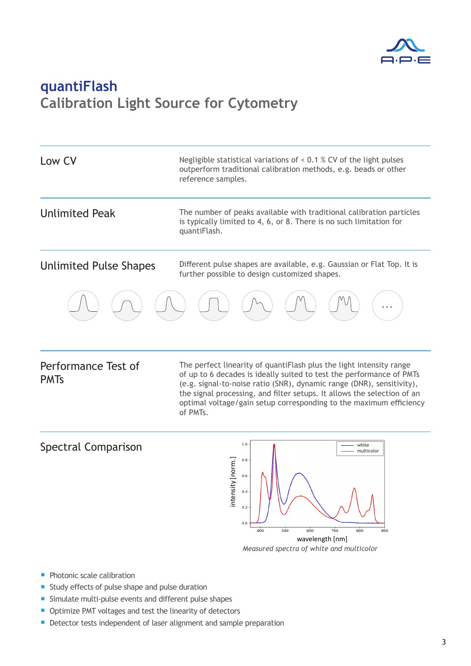

| Low CV                        | Negligible statistical variations of $\leq$ 0.1 % CV of the light pulses<br>outperform traditional calibration methods, e.g. beads or other<br>reference samples. |  |  |
|-------------------------------|-------------------------------------------------------------------------------------------------------------------------------------------------------------------|--|--|
| <b>Unlimited Peak</b>         | The number of peaks available with traditional calibration particles<br>is typically limited to 4, 6, or 8. There is no such limitation for<br>quantiFlash.       |  |  |
| <b>Unlimited Pulse Shapes</b> | Different pulse shapes are available, e.g. Gaussian or Flat Top. It is<br>further possible to design customized shapes.                                           |  |  |
|                               |                                                                                                                                                                   |  |  |

#### Performance Test of PMTs

The perfect linearity of quantiFlash plus the light intensity range of up to 6 decades is ideally suited to test the performance of PMTs (e.g. signal-to-noise ratio (SNR), dynamic range (DNR), sensitivity), the signal processing, and filter setups. It allows the selection of an optimal voltage/gain setup corresponding to the maximum efficiency of PMTs.

#### Spectral Comparison



- **Photonic scale calibration**
- Study effects of pulse shape and pulse duration
- Simulate multi-pulse events and different pulse shapes
- Optimize PMT voltages and test the linearity of detectors
- **Detector tests independent of laser alignment and sample preparation**